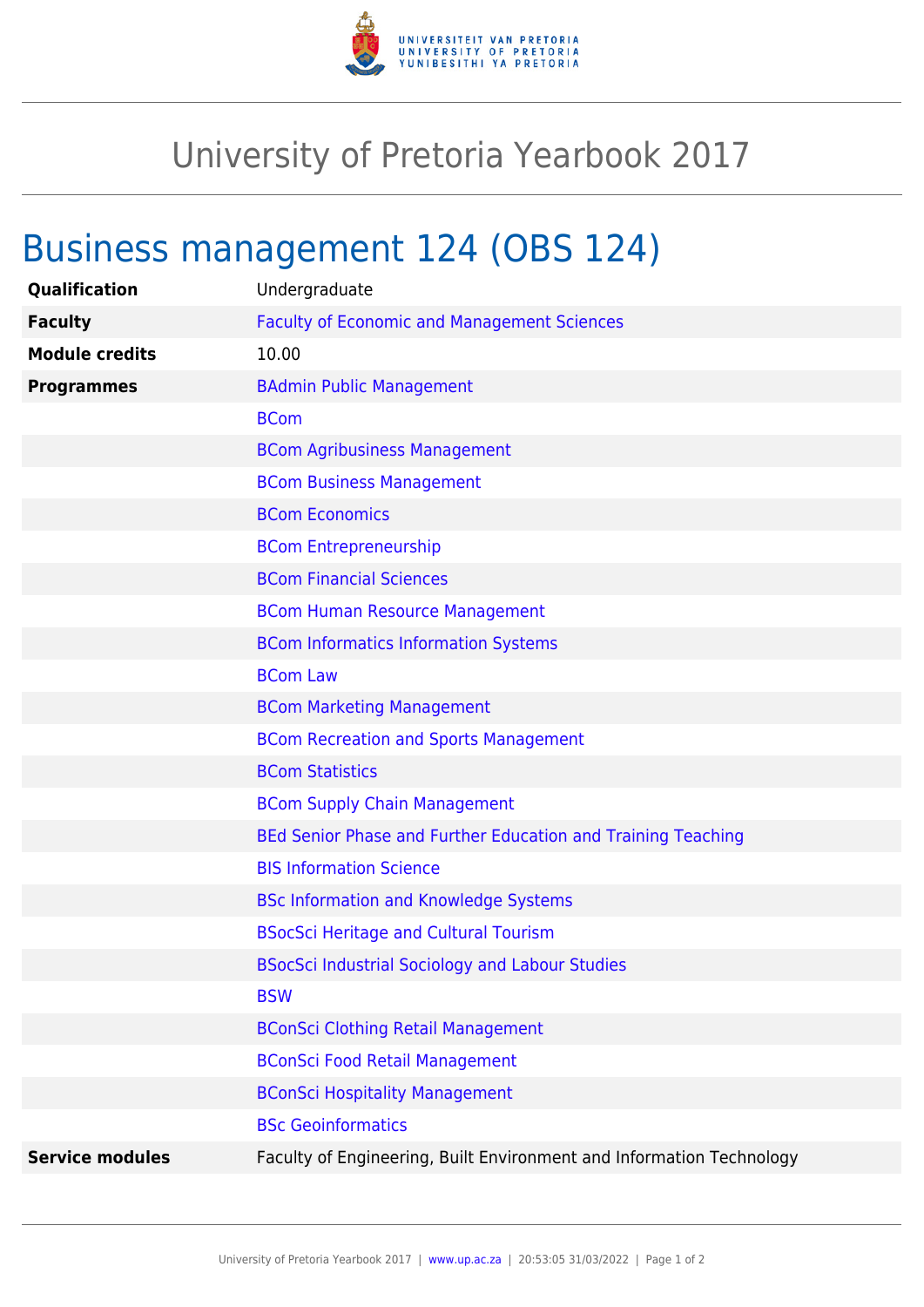

## University of Pretoria Yearbook 2017

## Business management 124 (OBS 124)

| Qualification          | Undergraduate                                                        |
|------------------------|----------------------------------------------------------------------|
| <b>Faculty</b>         | <b>Faculty of Economic and Management Sciences</b>                   |
| <b>Module credits</b>  | 10.00                                                                |
| <b>Programmes</b>      | <b>BAdmin Public Management</b>                                      |
|                        | <b>BCom</b>                                                          |
|                        | <b>BCom Agribusiness Management</b>                                  |
|                        | <b>BCom Business Management</b>                                      |
|                        | <b>BCom Economics</b>                                                |
|                        | <b>BCom Entrepreneurship</b>                                         |
|                        | <b>BCom Financial Sciences</b>                                       |
|                        | <b>BCom Human Resource Management</b>                                |
|                        | <b>BCom Informatics Information Systems</b>                          |
|                        | <b>BCom Law</b>                                                      |
|                        | <b>BCom Marketing Management</b>                                     |
|                        | <b>BCom Recreation and Sports Management</b>                         |
|                        | <b>BCom Statistics</b>                                               |
|                        | <b>BCom Supply Chain Management</b>                                  |
|                        | BEd Senior Phase and Further Education and Training Teaching         |
|                        | <b>BIS Information Science</b>                                       |
|                        | <b>BSc Information and Knowledge Systems</b>                         |
|                        | <b>BSocSci Heritage and Cultural Tourism</b>                         |
|                        | <b>BSocSci Industrial Sociology and Labour Studies</b>               |
|                        | <b>BSW</b>                                                           |
|                        | <b>BConSci Clothing Retail Management</b>                            |
|                        | <b>BConSci Food Retail Management</b>                                |
|                        | <b>BConSci Hospitality Management</b>                                |
|                        | <b>BSc Geoinformatics</b>                                            |
| <b>Service modules</b> | Faculty of Engineering, Built Environment and Information Technology |
|                        |                                                                      |